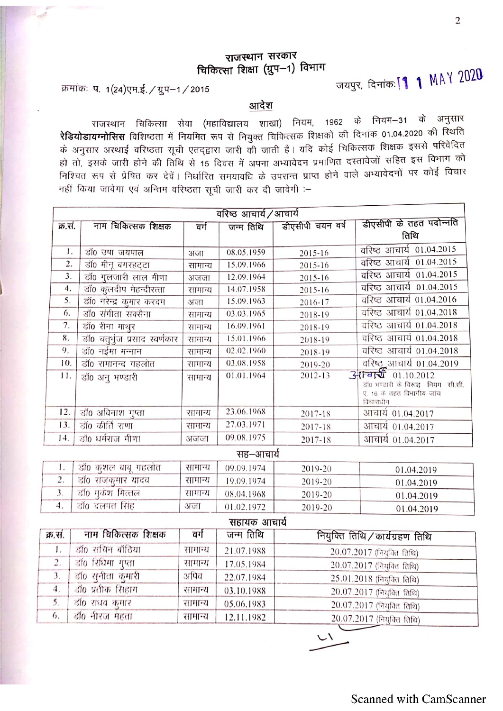## राजस्थान सरकार<br>चिकित्सा शिक्षा (ग्रुप—1) विभाग

## आदेश

राजस्थान चिकित्सा सेवा (महाविद्यालय शाखा) नियम, 1962 के नियम–31 के अनुसार रेडियोडायग्नोसिस विशिष्ठता में नियमित रूप से नियुक्त चिकित्सक शिक्षकों की दिनांक 01.04.2020 की रिश्चति के अनुसार अरथाई वरिष्ठता सूची एतद्द्वारा जारी की जाती है। यदि कोई चिकित्सक शिक्षक इससे परिवेदित हो तो, इसके जारी होने की तिथि से 15 दिवस में अपना अभ्यावेदन प्रमाणित दस्तावेजों सहित इस विभाग को निश्चित रूप से प्रेषित कर देवें। निर्धारित समयावधि के उपरान्त प्राप्त होने वाले अभ्यावेदनों पर कोई विचार राजस्थान हैं , राजस्थान कित्सा शिक्षा<br>क्रमांकः प. 1(24)एम.ई. / ग्रुप-1 / 2015<br>राजस्थान चिकित्सा सेवा (महाविद्यालय<br>रेडियोडायग्नोसिस विशिष्टता में नियमित रूप से नियुक्त<br>के अनुसार अस्थाई वरिष्टता सूची एतद्द्वारा जारी की<br>हो राजस्थान<br>हिनिल्सा शिक्षा<br>अग्नारंग स्थान विकित्सा सेवा (महाविद्यालय<br>राजस्थान विकित्सा सेवा (महाविद्यालय<br>रेडियोडायग्नोसिस विशिष्टता में नियमित रूप से नियुक<br>के अनुसार अस्थाई वरिष्टता सूची एतदृद्वारा जारी की<br>हो तो, इसके जारी नहीं किया जावेगा एवं अन्तिम वरिष्ठता सूची जारी कर दी जावेगी :-राजस्थान विकित्सा शिक्षा क्यांकः प. 1(24)एम.ई. / ग्रुप--1 / 2015<br>अग्नायंकः प. 1(24)एम.ई. / ग्रुप--1 / 2015<br>अग्नायंकः अनुसार अस्थाई वरिष्ठता में नियमित रूप से नियुक्त<br>के अनुसार अस्थाई वरिष्ठता सूची एतद्द्वारा जारी की<br>हो त राजस्था<sup>,</sup><br>हैं स्मिकेत्सा शिक्षा क्यांकः प. 1(24)एम.ई. / ग्रुप-1 / 2015<br>आर्जिया निकित्सा सेवा (महाविद्यालय<br>रेडियोडायग्नोसिस विशिष्टता में नियमित रूप से नियुक<br>के अनुसार अस्थाई वरिष्टता सूची एतद्द्वारा जारी की<br>हो तो, इसके राजस्था<sup>,</sup><br>समांकः प. 1(24)एम.ई. / ग्रुप-1 / 2015<br>आर्जिया निकित्सा सेवा (महाविद्यालय<br>रेडियोडायग्नोसिस विशिष्टता में नियमित रूप से नियुक्त<br>के अनुसार अस्थाई वरिष्टता सूची एतद्द्वारा जारी की<br>हो तो, इसके जारी होने की तिथि से

|                  |                                                                |         |                                 |                    | 2                                                                                                           |
|------------------|----------------------------------------------------------------|---------|---------------------------------|--------------------|-------------------------------------------------------------------------------------------------------------|
|                  |                                                                |         |                                 |                    |                                                                                                             |
|                  |                                                                |         | राजस्थान सरकार                  |                    |                                                                                                             |
|                  |                                                                |         | चिकित्सा शिक्षा (ग्रुप-1) विभाग |                    |                                                                                                             |
|                  |                                                                |         |                                 |                    | जयपुर, दिनांकः <b>[1] 1</b> MAY 2020                                                                        |
|                  | क्रमांकः प. 1(24)एम.ई. / ग्रुप–1 / 2015                        |         |                                 |                    |                                                                                                             |
|                  |                                                                |         | आदेश                            |                    |                                                                                                             |
|                  |                                                                |         |                                 |                    | राजस्थान चिकित्सा सेवा (महाविद्यालय शाखा) नियम, 1962 के नियम–31 के अनुसार                                   |
|                  |                                                                |         |                                 |                    | <b>रेडियोडायग्नोसिस</b> विशिष्ठता में नियमित रूप से नियुक्त चिकित्सक शिक्षकों की दिनांक 01.04.2020 की रिथति |
|                  |                                                                |         |                                 |                    | के अनुसार अस्थाई वरिष्ठता सूची एतद्द्वारा जारी की जाती है। यदि कोई चिकित्सक शिक्षक इससे परिवेदित            |
|                  |                                                                |         |                                 |                    | हो तो, इसके जारी होने की तिथि से 15 दिवस में अपना अभ्यावेदन प्रमाणित दस्तावेजों सहित इस विभाग को            |
|                  |                                                                |         |                                 |                    | निश्चित रूप से प्रेषित कर देवें। निर्धारित समयावधि के उपरान्त प्राप्त होने वाले अभ्यावेदनों पर कोई विचार    |
|                  | नहीं किया जावेगा एवं अन्तिम वरिष्ठता सूची जारी कर दी जावेगी :– |         |                                 |                    |                                                                                                             |
|                  |                                                                |         |                                 |                    |                                                                                                             |
|                  |                                                                |         | वरिष्ठ आचार्य/आचार्य            |                    | डीएसीपी के तहत पदोन्नति                                                                                     |
| क्र.सं.          | नाम चिकित्सक शिक्षक                                            | वर्ग    | जन्म तिथि                       | डीएसीपी चयन वर्ष   | तिथि                                                                                                        |
| 1.               | डाॅ0 उपा जयपाल                                                 | अजा     | 08.05.1959                      | 2015-16            | वरिष्ट आचार्य 01.04.2015                                                                                    |
| 2.               | डॉ0 मीनू वगरहटटा                                               | सामान्य | 15.09.1966                      | 2015-16            | वरिष्ठ आचार्य 01.04.2015                                                                                    |
| 3 <sub>1</sub>   | डॉ0 गूलजारी लाल मीणा                                           | अजजा    | 12.09.1964                      | 2015-16            | वरिष्ठ आचार्य 01.04.2015                                                                                    |
| 4.               | डॉ0 कुलदीप मेहन्दीरत्ता                                        | सामान्य | 14.07.1958                      | 2015-16            | वरिष्ठ आचार्य 01.04.2015                                                                                    |
| 5.               | डाॅ0 नरेन्द्र कुमार करदम                                       | अजा     | 15.09.1963                      | 2016-17            | वरिष्ट आचार्य 01.04.2016                                                                                    |
| 6.               | डॉ0 संगीता सक्सैना                                             | सामान्य | 03.03.1965                      | 2018-19            | वरिष्ठ आचार्य 01.04.2018                                                                                    |
| 7.               | डॉ0 रीना माथुर                                                 | सामान्य | 16.09.1961                      | 2018-19            | वरिष्ट आचार्य 01.04.2018                                                                                    |
| 8.               | डॉ० चतुर्भुज प्रसाद स्वर्णकार                                  | सामान्य | 15.01.1966                      | 2018-19            | वरिष्ठ आचार्य 01.04.2018                                                                                    |
| 9.               | डॉ0 नईमा मन्नान                                                | सामान्य | 02.02.1960                      | 2018-19            | वरिष्ठ आचार्य 01.04.2018                                                                                    |
| 10.              | डॉ0 रामानन्द गहलोत                                             | सामान्य | 03.08.1958<br>01.01.1964        | 2019-20<br>2012-13 | वरिष्ट्र आचार्य 01.04.2019<br>3 राजर्स 01.10.2012                                                           |
| 11.              | डॉ0 अनु भण्डारी                                                | सामान्य |                                 |                    | डॉ0 भण्डारी के विरुद्ध नियम सी.सी.                                                                          |
|                  |                                                                |         |                                 |                    | ए. 16 के तहत विभागीय जांच<br>विचाराधीन                                                                      |
| 12.              | डॉ0 अविनाश गुप्ता                                              | सामान्य | 23.06.1968                      | $2017 - 18$        | आचार्य 01.04.2017                                                                                           |
| 13.              | डॉ0 कीर्ति राणा                                                | सामान्य | 27.03.1971                      | 2017-18            | आचार्य ०१.०४.२०१७                                                                                           |
| 14.              | डाॅ0 धर्मराज मीणा                                              | अजजा    | 09.08.1975                      | 2017-18            | आचार्य 01.04.2017                                                                                           |
|                  |                                                                |         | सह–आचार्य                       |                    |                                                                                                             |
| Ι.               | डाॅ0 कुशल बाबू गहलोत                                           | सामान्य | 09.09.1974                      | 2019-20            | 01.04.2019                                                                                                  |
| 2.               | डाॅ0 राजकुमार यादव                                             | सामान्य | 19.09.1974                      | 2019-20            | 01.04.2019                                                                                                  |
| 3.               | डाॅ0 मुकेश मित्तल                                              | सामान्य | 08.04.1968                      | 2019-20            | 01.04.2019                                                                                                  |
| 4.               | डॉ0 दलपत सिंह                                                  | अजा     | 01.02.1972                      | 2019-20            | 01.04.2019                                                                                                  |
|                  |                                                                |         | सहायक आचार्य                    |                    |                                                                                                             |
| क्र.सं.          | नाम चिकित्सक शिक्षक                                            | वर्ग    | जन्म तिथि                       |                    | नियुक्ति तिथि / कार्यग्रहण तिथि                                                                             |
| 1,               | डॉ0 सचिन बॉठिया                                                | सामान्य | 21.07.1988                      |                    | 20.07.2017 (नियुक्ति तिथि)                                                                                  |
| $\overline{2}$ . | डाॅo रिधिमा गुप्ता                                             | सामान्य | 17.05.1984                      |                    | 20.07.2017 (नियुक्ति तिथि)                                                                                  |
| 3.               | डाॅ0 सुनीता कुमारी                                             | अपिव    | 22.07.1984                      |                    | 25.01.2018 (नियुक्ति तिथि)                                                                                  |
| $\boldsymbol{4}$ | डॉ0 प्रतीक सिहाग                                               | सामान्य | 03.10.1988                      |                    | 20.07.2017 (नियुक्ति तिथि)                                                                                  |
|                  | डाॅ0 राधव कुमार                                                | सामान्य | 05.06.1983                      |                    | 20.07.2017 (नियुक्ति तिथि)                                                                                  |
| 5.               |                                                                |         |                                 |                    |                                                                                                             |

| डाॅ0 कुशल बावू गहलोत | सामान्य | 09.09.1974 | 2019-20 | 01.04.2019 |
|----------------------|---------|------------|---------|------------|
| डाॅ0 राजकुमार यादव   | सामान्य | 19.09.1974 | 2019-20 | 01.04.2019 |
| डाॅ0 मुकेश मित्तल    | सामान्य | 08.04.1968 | 2019-20 | 01.04.2019 |
| डाॅ0 दलपत सिंह       | अजा     | 01.02.1972 | 2019-20 | 01.04.2019 |

## सहायक आचार्य

|                     |         | सहायक आचार्य |                                 |
|---------------------|---------|--------------|---------------------------------|
| नाम चिकित्सक शिक्षक | वर्ग    | जन्म तिथि    | नियुक्ति तिथि / कार्यग्रहण तिथि |
| डॉ0 सचिन बॉठिया     | सामान्य | 21.07.1988   | 20.07.2017 (नियुक्ति तिथि)      |
| डाॅo रिधिमा गुप्ता  | सामान्य | 17.05.1984   | 20.07.2017 (नियुक्ति तिथि)      |
| डाॅ0 सुनीता कुमारी  | अपिव    | 22.07.1984   | 25.01.2018 (नियुक्ति तिथि)      |
| डॉ0 प्रतीक सिहाग    | सामान्य | 03.10.1988   | 20.07.2017 (नियुक्ति तिथि)      |
| डाॅ0 राधव कुमार     | सामान्य | 05.06.1983   | 20.07.2017 (नियुक्ति तिथि)      |
| डॉ० नीरज महत्ता     | सामान्य | 12.11.1982   | 20.07.2017 (नियुक्ति तिथि)      |
|                     |         |              |                                 |